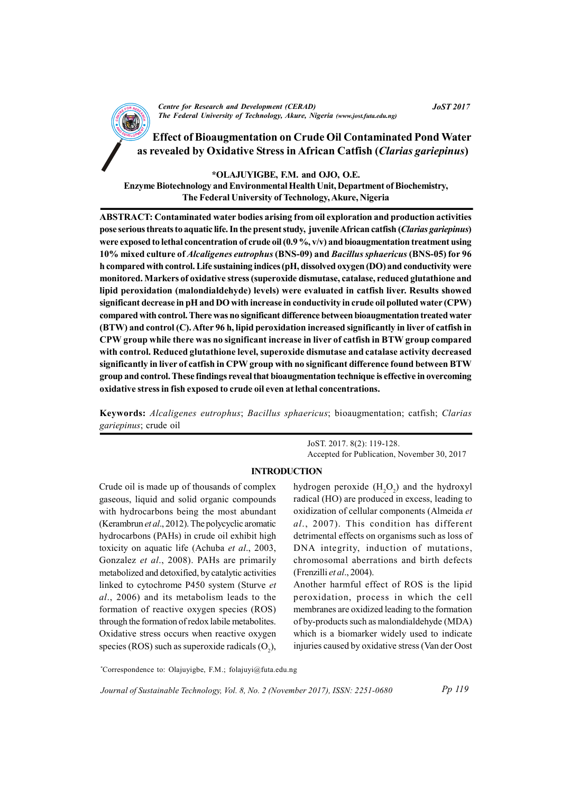

<sup>A</sup>N<sup>D</sup> <sup>D</sup>EVELOPM<sup>E</sup> <sup>N</sup><sup>T</sup> Effect of Bioaugmentation on Crude Oil Contaminated Pond Water as revealed by Oxidative Stress in African Catfish (Clarias gariepinus)

\*OLAJUYIGBE, F.M. and OJO, O.E. Enzyme Biotechnology and Environmental Health Unit, Department of Biochemistry, The Federal University of Technology, Akure, Nigeria

ABSTRACT: Contaminated water bodies arising from oil exploration and production activities pose serious threats to aquatic life. In the present study, juvenile African catfish (Clarias gariepinus) were exposed to lethal concentration of crude oil  $(0.9\%, v/v)$  and bioaugmentation treatment using 10% mixed culture of Alcaligenes eutrophus (BNS-09) and Bacillus sphaericus (BNS-05) for 96 h compared with control. Life sustaining indices (pH, dissolved oxygen (DO) and conductivity were monitored. Markers of oxidative stress (superoxide dismutase, catalase, reduced glutathione and lipid peroxidation (malondialdehyde) levels) were evaluated in catfish liver. Results showed significant decrease in pH and DO with increase in conductivity in crude oil polluted water (CPW) compared with control. There was no significant difference between bioaugmentation treated water (BTW) and control (C). After 96 h, lipid peroxidation increased significantly in liver of catfish in CPW group while there was no significant increase in liver of catfish in BTW group compared with control. Reduced glutathione level, superoxide dismutase and catalase activity decreased significantly in liver of catfish in CPW group with no significant difference found between BTW group and control. These findings reveal that bioaugmentation technique is effective in overcoming oxidative stress in fish exposed to crude oil even at lethal concentrations.

Keywords: Alcaligenes eutrophus; Bacillus sphaericus; bioaugmentation; catfish; Clarias gariepinus; crude oil

> JoST. 2017. 8(2): 119-128. Accepted for Publication, November 30, 2017

JoST 2017

# INTRODUCTION

Crude oil is made up of thousands of complex gaseous, liquid and solid organic compounds with hydrocarbons being the most abundant (Kerambrun et al., 2012). The polycyclic aromatic hydrocarbons (PAHs) in crude oil exhibit high toxicity on aquatic life (Achuba et al., 2003, Gonzalez et al., 2008). PAHs are primarily metabolized and detoxified, by catalytic activities linked to cytochrome P450 system (Sturve et al., 2006) and its metabolism leads to the formation of reactive oxygen species (ROS) through the formation of redox labile metabolites. Oxidative stress occurs when reactive oxygen species (ROS) such as superoxide radicals  $(O_2)$ ,

hydrogen peroxide  $(H_2O_2)$  and the hydroxyl radical (HO) are produced in excess, leading to oxidization of cellular components (Almeida et al., 2007). This condition has different detrimental effects on organisms such as loss of DNA integrity, induction of mutations, chromosomal aberrations and birth defects (Frenzilli et al., 2004).

Another harmful effect of ROS is the lipid peroxidation, process in which the cell membranes are oxidized leading to the formation of by-products such as malondialdehyde (MDA) which is a biomarker widely used to indicate injuries caused by oxidative stress (Van der Oost

Pp 119

\*Correspondence to: Olajuyigbe, F.M.; folajuyi@futa.edu.ng

Journal of Sustainable Technology, Vol. 8, No. 2 (November 2017), ISSN: 2251-0680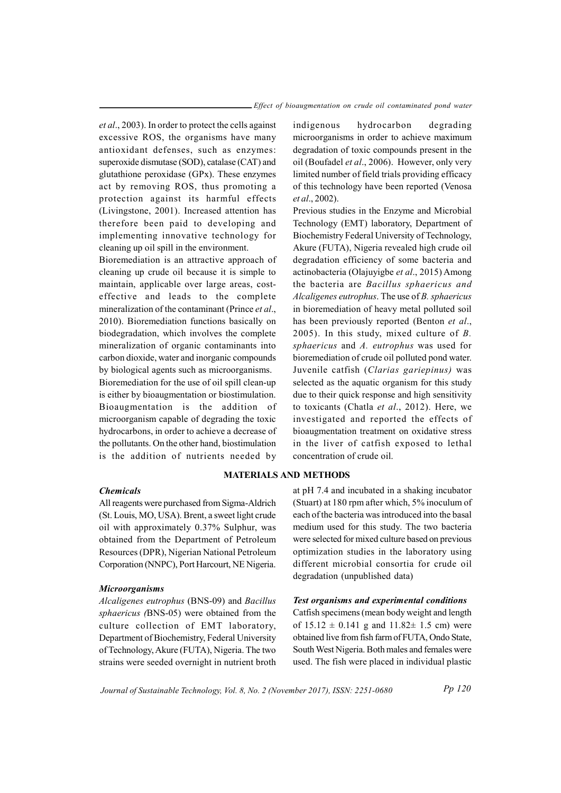et al., 2003). In order to protect the cells against excessive ROS, the organisms have many antioxidant defenses, such as enzymes: superoxide dismutase (SOD), catalase (CAT) and glutathione peroxidase (GPx). These enzymes act by removing ROS, thus promoting a protection against its harmful effects (Livingstone, 2001). Increased attention has therefore been paid to developing and implementing innovative technology for cleaning up oil spill in the environment.

Bioremediation is an attractive approach of cleaning up crude oil because it is simple to maintain, applicable over large areas, costeffective and leads to the complete mineralization of the contaminant (Prince et al., 2010). Bioremediation functions basically on biodegradation, which involves the complete mineralization of organic contaminants into carbon dioxide, water and inorganic compounds by biological agents such as microorganisms. Bioremediation for the use of oil spill clean-up is either by bioaugmentation or biostimulation. Bioaugmentation is the addition of microorganism capable of degrading the toxic

hydrocarbons, in order to achieve a decrease of the pollutants. On the other hand, biostimulation is the addition of nutrients needed by

### Chemicals

All reagents were purchased from Sigma-Aldrich (St. Louis, MO, USA). Brent, a sweet light crude oil with approximately 0.37% Sulphur, was obtained from the Department of Petroleum Resources (DPR), Nigerian National Petroleum Corporation (NNPC), Port Harcourt, NE Nigeria.

#### Microorganisms

Alcaligenes eutrophus (BNS-09) and Bacillus sphaericus (BNS-05) were obtained from the culture collection of EMT laboratory, Department of Biochemistry, Federal University of Technology, Akure (FUTA), Nigeria. The two strains were seeded overnight in nutrient broth indigenous hydrocarbon degrading microorganisms in order to achieve maximum degradation of toxic compounds present in the oil (Boufadel et al., 2006). However, only very limited number of field trials providing efficacy of this technology have been reported (Venosa et al., 2002).

Previous studies in the Enzyme and Microbial Technology (EMT) laboratory, Department of Biochemistry Federal University of Technology, Akure (FUTA), Nigeria revealed high crude oil degradation efficiency of some bacteria and actinobacteria (Olajuyigbe et al., 2015) Among the bacteria are Bacillus sphaericus and Alcaligenes eutrophus. The use of B. sphaericus in bioremediation of heavy metal polluted soil has been previously reported (Benton et al., 2005). In this study, mixed culture of B. sphaericus and A. eutrophus was used for bioremediation of crude oil polluted pond water. Juvenile catfish (Clarias gariepinus) was selected as the aquatic organism for this study due to their quick response and high sensitivity to toxicants (Chatla et al., 2012). Here, we investigated and reported the effects of bioaugmentation treatment on oxidative stress in the liver of catfish exposed to lethal concentration of crude oil.

## MATERIALS AND METHODS

at pH 7.4 and incubated in a shaking incubator (Stuart) at 180 rpm after which, 5% inoculum of each of the bacteria was introduced into the basal medium used for this study. The two bacteria were selected for mixed culture based on previous optimization studies in the laboratory using different microbial consortia for crude oil degradation (unpublished data)

#### Test organisms and experimental conditions

Catfish specimens (mean body weight and length of  $15.12 \pm 0.141$  g and  $11.82 \pm 1.5$  cm) were obtained live from fish farm of FUTA, Ondo State, South West Nigeria. Both males and females were used. The fish were placed in individual plastic

Journal of Sustainable Technology, Vol. 8, No. 2 (November 2017), ISSN: 2251-0680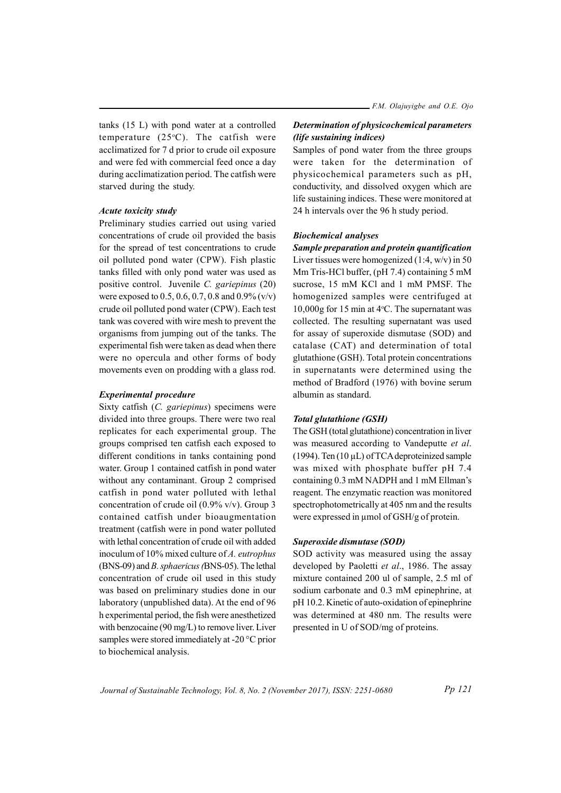tanks (15 L) with pond water at a controlled temperature  $(25^{\circ}C)$ . The catfish were acclimatized for 7 d prior to crude oil exposure and were fed with commercial feed once a day during acclimatization period. The catfish were starved during the study.

### Acute toxicity study

Preliminary studies carried out using varied concentrations of crude oil provided the basis for the spread of test concentrations to crude oil polluted pond water (CPW). Fish plastic tanks filled with only pond water was used as positive control. Juvenile C. gariepinus (20) were exposed to  $0.5, 0.6, 0.7, 0.8$  and  $0.9\%$  (v/v) crude oil polluted pond water (CPW). Each test tank was covered with wire mesh to prevent the organisms from jumping out of the tanks. The experimental fish were taken as dead when there were no opercula and other forms of body movements even on prodding with a glass rod.

#### Experimental procedure

Sixty catfish (C. gariepinus) specimens were divided into three groups. There were two real replicates for each experimental group. The groups comprised ten catfish each exposed to different conditions in tanks containing pond water. Group 1 contained catfish in pond water without any contaminant. Group 2 comprised catfish in pond water polluted with lethal concentration of crude oil (0.9% v/v). Group 3 contained catfish under bioaugmentation treatment (catfish were in pond water polluted with lethal concentration of crude oil with added inoculum of 10% mixed culture of A. eutrophus (BNS-09) and B. sphaericus (BNS-05). The lethal concentration of crude oil used in this study was based on preliminary studies done in our laboratory (unpublished data). At the end of 96 h experimental period, the fish were anesthetized with benzocaine (90 mg/L) to remove liver. Liver samples were stored immediately at -20 °C prior to biochemical analysis.

# Determination of physicochemical parameters (life sustaining indices)

Samples of pond water from the three groups were taken for the determination of physicochemical parameters such as pH, conductivity, and dissolved oxygen which are life sustaining indices. These were monitored at 24 h intervals over the 96 h study period.

### Biochemical analyses

Sample preparation and protein quantification Liver tissues were homogenized (1:4, w/v) in 50 Mm Tris-HCl buffer, (pH 7.4) containing 5 mM sucrose, 15 mM KCl and 1 mM PMSF. The homogenized samples were centrifuged at 10,000g for 15 min at  $4^{\circ}$ C. The supernatant was collected. The resulting supernatant was used for assay of superoxide dismutase (SOD) and catalase (CAT) and determination of total glutathione (GSH). Total protein concentrations in supernatants were determined using the method of Bradford (1976) with bovine serum albumin as standard.

### Total glutathione (GSH)

The GSH (total glutathione) concentration in liver was measured according to Vandeputte et al. (1994). Ten  $(10 \mu L)$  of TCA deproteinized sample was mixed with phosphate buffer pH 7.4 containing 0.3 mM NADPH and 1 mM Ellman's reagent. The enzymatic reaction was monitored spectrophotometrically at 405 nm and the results were expressed in  $\mu$ mol of GSH/g of protein.

### Superoxide dismutase (SOD)

SOD activity was measured using the assay developed by Paoletti et al., 1986. The assay mixture contained 200 ul of sample, 2.5 ml of sodium carbonate and 0.3 mM epinephrine, at pH 10.2. Kinetic of auto-oxidation of epinephrine was determined at 480 nm. The results were presented in U of SOD/mg of proteins.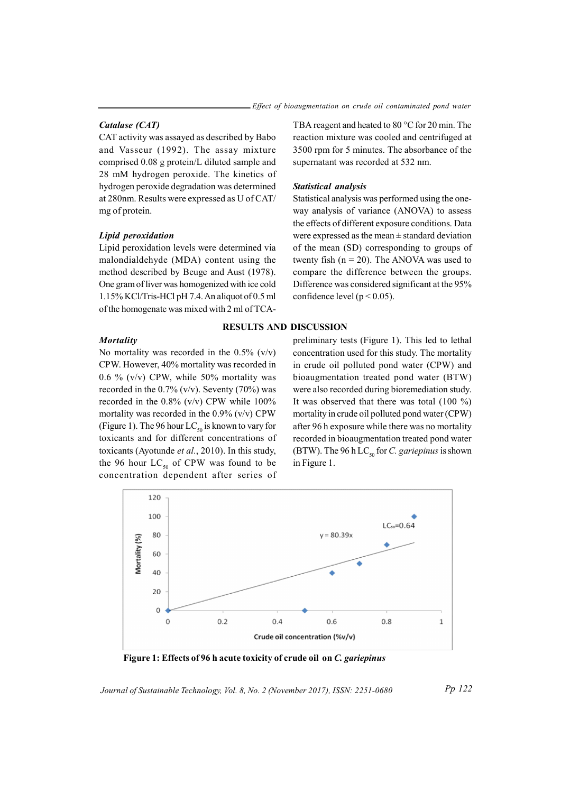## Catalase (CAT)

CAT activity was assayed as described by Babo and Vasseur (1992). The assay mixture comprised 0.08 g protein/L diluted sample and 28 mM hydrogen peroxide. The kinetics of hydrogen peroxide degradation was determined at 280nm. Results were expressed as U of CAT/ mg of protein.

#### Lipid peroxidation

Lipid peroxidation levels were determined via malondialdehyde (MDA) content using the method described by Beuge and Aust (1978). One gram of liver was homogenized with ice cold 1.15% KCl/Tris-HCl pH 7.4. An aliquot of 0.5 ml of the homogenate was mixed with 2 ml of TCA-

### **Mortality**

No mortality was recorded in the  $0.5\%$  (v/v) CPW. However, 40% mortality was recorded in 0.6 % (v/v) CPW, while 50% mortality was recorded in the  $0.7\%$  (v/v). Seventy (70%) was recorded in the 0.8% (v/v) CPW while 100% mortality was recorded in the  $0.9\%$  (v/v) CPW (Figure 1). The 96 hour  $LC_{50}$  is known to vary for toxicants and for different concentrations of toxicants (Ayotunde et al., 2010). In this study, the 96 hour  $LC_{50}$  of CPW was found to be concentration dependent after series of TBA reagent and heated to 80 °C for 20 min. The reaction mixture was cooled and centrifuged at 3500 rpm for 5 minutes. The absorbance of the supernatant was recorded at 532 nm.

## Statistical analysis

Statistical analysis was performed using the oneway analysis of variance (ANOVA) to assess the effects of different exposure conditions. Data were expressed as the mean  $\pm$  standard deviation of the mean (SD) corresponding to groups of twenty fish  $(n = 20)$ . The ANOVA was used to compare the difference between the groups. Difference was considered significant at the 95% confidence level ( $p < 0.05$ ).

#### RESULTS AND DISCUSSION

preliminary tests (Figure 1). This led to lethal concentration used for this study. The mortality in crude oil polluted pond water (CPW) and bioaugmentation treated pond water (BTW) were also recorded during bioremediation study. It was observed that there was total (100 %) mortality in crude oil polluted pond water (CPW) after 96 h exposure while there was no mortality recorded in bioaugmentation treated pond water (BTW). The 96 h LC<sub>50</sub> for C. gariepinus is shown in Figure 1.



Figure 1: Effects of 96 h acute toxicity of crude oil on C. gariepinus

Journal of Sustainable Technology, Vol. 8, No. 2 (November 2017), ISSN: 2251-0680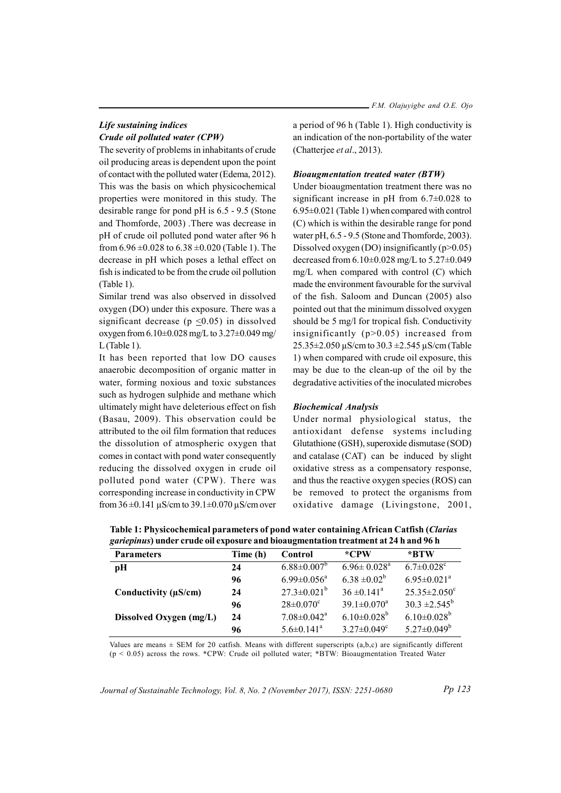$-$  F.M. Olajuyigbe and O.E. Ojo

# Life sustaining indices Crude oil polluted water (CPW)

The severity of problems in inhabitants of crude oil producing areas is dependent upon the point of contact with the polluted water (Edema, 2012). This was the basis on which physicochemical properties were monitored in this study. The desirable range for pond pH is 6.5 - 9.5 (Stone and Thomforde, 2003) .There was decrease in pH of crude oil polluted pond water after 96 h from  $6.96 \pm 0.028$  to  $6.38 \pm 0.020$  (Table 1). The decrease in pH which poses a lethal effect on fish is indicated to be from the crude oil pollution (Table 1).

Similar trend was also observed in dissolved oxygen (DO) under this exposure. There was a significant decrease ( $p \leq 0.05$ ) in dissolved oxygen from 6.10±0.028 mg/L to 3.27±0.049 mg/ L (Table 1).

It has been reported that low DO causes anaerobic decomposition of organic matter in water, forming noxious and toxic substances such as hydrogen sulphide and methane which ultimately might have deleterious effect on fish (Basau, 2009). This observation could be attributed to the oil film formation that reduces the dissolution of atmospheric oxygen that comes in contact with pond water consequently reducing the dissolved oxygen in crude oil polluted pond water (CPW). There was corresponding increase in conductivity in CPW from  $36 \pm 0.141 \,\mu$ S/cm to  $39.1 \pm 0.070 \,\mu$ S/cm over

a period of 96 h (Table 1). High conductivity is an indication of the non-portability of the water (Chatterjee et al., 2013).

## Bioaugmentation treated water (BTW)

Under bioaugmentation treatment there was no significant increase in pH from 6.7±0.028 to 6.95±0.021 (Table 1) when compared with control (C) which is within the desirable range for pond water pH, 6.5 - 9.5 (Stone and Thomforde, 2003). Dissolved oxygen (DO) insignificantly  $(p>0.05)$ decreased from 6.10±0.028 mg/L to 5.27±0.049 mg/L when compared with control (C) which made the environment favourable for the survival of the fish. Saloom and Duncan (2005) also pointed out that the minimum dissolved oxygen should be 5 mg/l for tropical fish. Conductivity insignificantly (p>0.05) increased from 25.35±2.050 µS/cm to 30.3 ±2.545 µS/cm (Table 1) when compared with crude oil exposure, this may be due to the clean-up of the oil by the degradative activities of the inoculated microbes

## Biochemical Analysis

Under normal physiological status, the antioxidant defense systems including Glutathione (GSH), superoxide dismutase (SOD) and catalase (CAT) can be induced by slight oxidative stress as a compensatory response, and thus the reactive oxygen species (ROS) can be removed to protect the organisms from oxidative damage (Livingstone, 2001,

| ganepinas) unuci cruuc on cxposure anu oioauginentation treatment at 24 n anu 26 n |                               |                               |                                |  |  |  |
|------------------------------------------------------------------------------------|-------------------------------|-------------------------------|--------------------------------|--|--|--|
| Time (h)                                                                           | Control                       | *CPW                          | *BTW                           |  |  |  |
| 24                                                                                 | $6.88 \pm 0.007^{\circ}$      | $6.96 \pm 0.028^{\text{a}}$   | $6.7 \pm 0.028$ <sup>c</sup>   |  |  |  |
| 96                                                                                 | $6.99 \pm 0.056^{\mathrm{a}}$ | $6.38 \pm 0.02^b$             | $6.95 \pm 0.021$ <sup>a</sup>  |  |  |  |
| 24                                                                                 | $27.3 \pm 0.021^b$            | $36 \pm 0.141^{\circ}$        | $25.35 \pm 2.050$ <sup>c</sup> |  |  |  |
| 96                                                                                 | $28 \pm 0.070$ <sup>c</sup>   | $39.1 \pm 0.070$ <sup>a</sup> | $30.3 \pm 2.545^{\circ}$       |  |  |  |
| 24                                                                                 | $7.08 \pm 0.042$ <sup>a</sup> | $6.10\pm0.028^b$              | $6.10\pm0.028^{\rm b}$         |  |  |  |
| 96                                                                                 | $5.6 \pm 0.141$ <sup>a</sup>  | $3.27 \pm 0.049$ <sup>c</sup> | $5.27 \pm 0.049^b$             |  |  |  |
|                                                                                    |                               |                               |                                |  |  |  |

Table 1: Physicochemical parameters of pond water containing African Catfish (Clarias gariepinus) under crude oil exposure and bioaugmentation treatment at 24 h and 96 h

Values are means  $\pm$  SEM for 20 catfish. Means with different superscripts (a,b,c) are significantly different  $(p < 0.05)$  across the rows. \*CPW: Crude oil polluted water; \*BTW: Bioaugmentation Treated Water

Journal of Sustainable Technology, Vol. 8, No. 2 (November 2017), ISSN: 2251-0680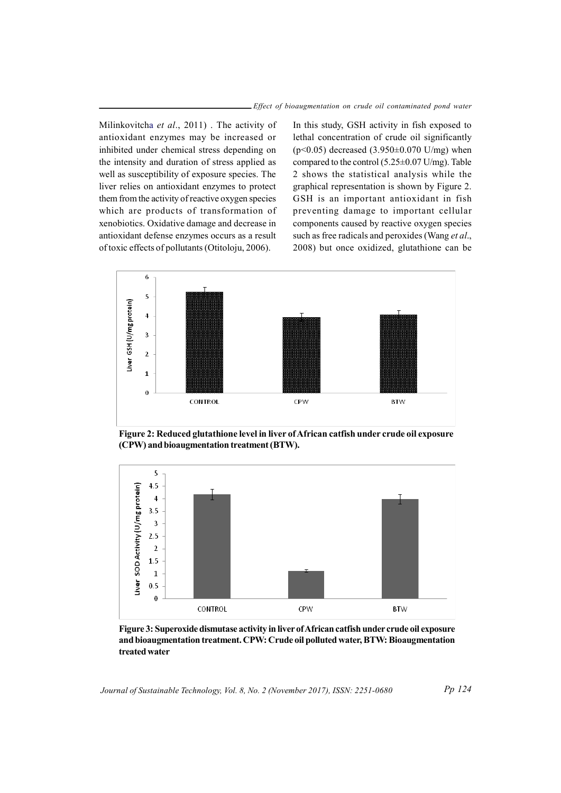Milinkovitcha et al., 2011). The activity of antioxidant enzymes may be increased or inhibited under chemical stress depending on the intensity and duration of stress applied as well as susceptibility of exposure species. The liver relies on antioxidant enzymes to protect them from the activity of reactive oxygen species which are products of transformation of xenobiotics. Oxidative damage and decrease in antioxidant defense enzymes occurs as a result of toxic effects of pollutants (Otitoloju, 2006).

In this study, GSH activity in fish exposed to lethal concentration of crude oil significantly ( $p$ <0.05) decreased (3.950 $\pm$ 0.070 U/mg) when compared to the control (5.25±0.07 U/mg). Table 2 shows the statistical analysis while the graphical representation is shown by Figure 2. GSH is an important antioxidant in fish preventing damage to important cellular components caused by reactive oxygen species such as free radicals and peroxides (Wang et al., 2008) but once oxidized, glutathione can be



Figure 2: Reduced glutathione level in liver of African catfish under crude oil exposure (CPW) and bioaugmentation treatment (BTW).



Figure 3: Superoxide dismutase activity in liver of African catfish under crude oil exposure and bioaugmentation treatment. CPW: Crude oil polluted water, BTW: Bioaugmentation treated water

Journal of Sustainable Technology, Vol. 8, No. 2 (November 2017), ISSN: 2251-0680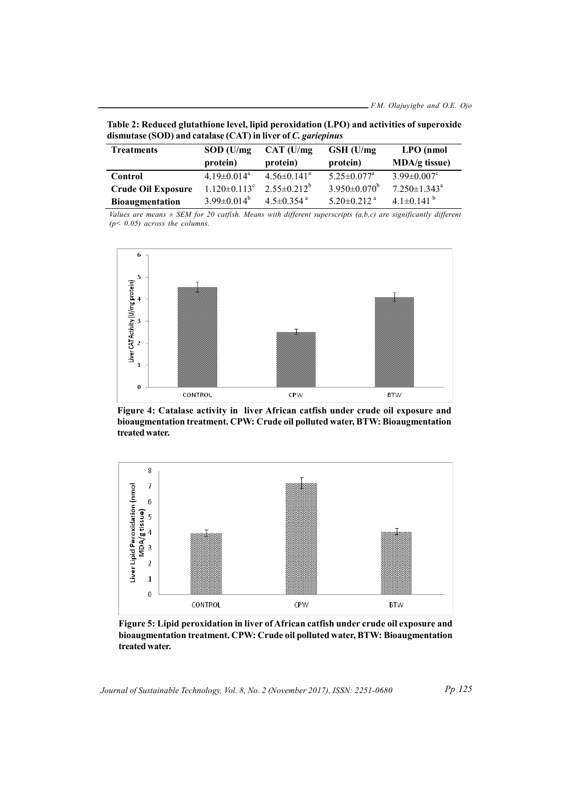| dismutase (SOD) and catalase (CAT) in liver of C. gariepinus |                                |                              |                               |                                |  |  |
|--------------------------------------------------------------|--------------------------------|------------------------------|-------------------------------|--------------------------------|--|--|
| <b>Treatments</b>                                            | $SOD$ (U/mg)                   | $CAT$ (U/mg)                 | $GSH$ (U/mg)                  | $LPO$ (nmol                    |  |  |
|                                                              | protein)                       | protein)                     | protein)                      | $MDA/g$ tissue)                |  |  |
| Control                                                      | $4.19 \pm 0.014$ <sup>a</sup>  | $4.56\pm0.141^{\circ}$       | $5.25 \pm 0.077$ <sup>a</sup> | $3.99 \pm 0.007$ <sup>c</sup>  |  |  |
| <b>Crude Oil Exposure</b>                                    | $1.120 \pm 0.113$ <sup>c</sup> | $2.55 \pm 0.212^b$           | $3.950 \pm 0.070^{\circ}$     | $7.250 \pm 1.343$ <sup>a</sup> |  |  |
| <b>Bioaugmentation</b>                                       | $3.99 \pm 0.014^b$             | $4.5 \pm 0.354$ <sup>a</sup> | $5.20 \pm 0.212$ <sup>a</sup> | 4.1 $\pm$ 0.141 $^{\circ}$     |  |  |

Table 2: Reduced glutathione level, lipid peroxidation (LPO) and activities of superoxide dismutase (SOD) and catalase (CAT) in liver of C. gariepinus

Values are means  $\pm$  SEM for 20 catfish. Means with different superscripts  $(a,b,c)$  are significantly different  $(p< 0.05)$  across the columns.



Figure 4: Catalase activity in liver African catfish under crude oil exposure and bioaugmentation treatment. CPW: Crude oil polluted water, BTW: Bioaugmentation treated water.



Figure 5: Lipid peroxidation in liver of African catfish under crude oil exposure and bioaugmentation treatment. CPW: Crude oil polluted water, BTW: Bioaugmentation treated water.

Journal of Sustainable Technology, Vol. 8, No. 2 (November 2017), ISSN: 2251-0680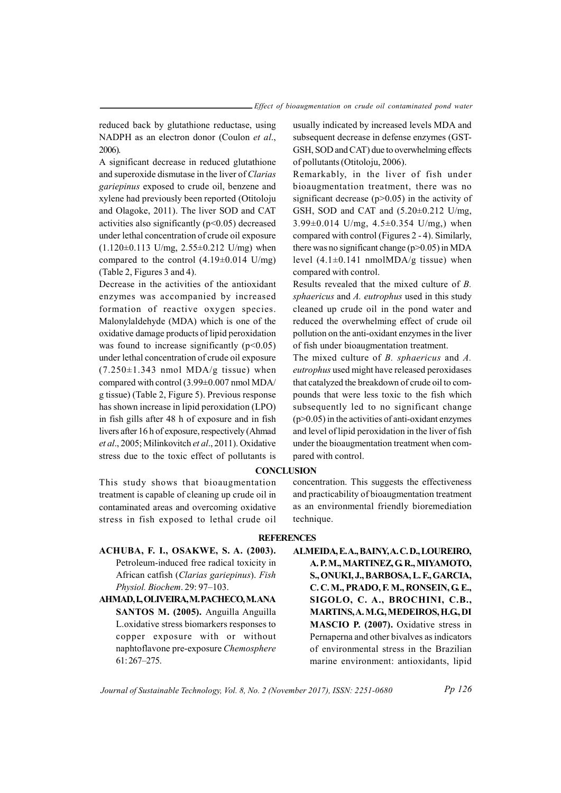reduced back by glutathione reductase, using NADPH as an electron donor (Coulon et al., 2006).

A significant decrease in reduced glutathione and superoxide dismutase in the liver of Clarias gariepinus exposed to crude oil, benzene and xylene had previously been reported (Otitoloju and Olagoke, 2011). The liver SOD and CAT activities also significantly  $(p<0.05)$  decreased under lethal concentration of crude oil exposure  $(1.120\pm0.113 \text{ U/mg}, 2.55\pm0.212 \text{ U/mg})$  when compared to the control  $(4.19\pm0.014 \text{ U/mg})$ (Table 2, Figures 3 and 4).

Decrease in the activities of the antioxidant enzymes was accompanied by increased formation of reactive oxygen species. Malonylaldehyde (MDA) which is one of the oxidative damage products of lipid peroxidation was found to increase significantly  $(p<0.05)$ under lethal concentration of crude oil exposure  $(7.250\pm1.343$  nmol MDA/g tissue) when compared with control (3.99±0.007 nmol MDA/ g tissue) (Table 2, Figure 5). Previous response has shown increase in lipid peroxidation (LPO) in fish gills after 48 h of exposure and in fish livers after 16 h of exposure, respectively (Ahmad et al., 2005; Milinkovitch et al., 2011). Oxidative stress due to the toxic effect of pollutants is

This study shows that bioaugmentation treatment is capable of cleaning up crude oil in contaminated areas and overcoming oxidative stress in fish exposed to lethal crude oil usually indicated by increased levels MDA and subsequent decrease in defense enzymes (GST-GSH, SOD and CAT) due to overwhelming effects of pollutants (Otitoloju, 2006).

Remarkably, in the liver of fish under bioaugmentation treatment, there was no significant decrease  $(p>0.05)$  in the activity of GSH, SOD and CAT and (5.20±0.212 U/mg, 3.99 $\pm$ 0.014 U/mg, 4.5 $\pm$ 0.354 U/mg,) when compared with control (Figures 2 - 4). Similarly, there was no significant change  $(p>0.05)$  in MDA level  $(4.1\pm0.141 \text{ nmolMDA/g tissue})$  when compared with control.

Results revealed that the mixed culture of B. sphaericus and A. eutrophus used in this study cleaned up crude oil in the pond water and reduced the overwhelming effect of crude oil pollution on the anti-oxidant enzymes in the liver of fish under bioaugmentation treatment.

The mixed culture of B. sphaericus and A. eutrophus used might have released peroxidases that catalyzed the breakdown of crude oil to compounds that were less toxic to the fish which subsequently led to no significant change  $(p>0.05)$  in the activities of anti-oxidant enzymes and level of lipid peroxidation in the liver of fish under the bioaugmentation treatment when compared with control.

# **CONCLUSION**

concentration. This suggests the effectiveness and practicability of bioaugmentation treatment as an environmental friendly bioremediation technique.

### **REFERENCES**

- ACHUBA, F. I., OSAKWE, S. A. (2003). Petroleum-induced free radical toxicity in African catfish (Clarias gariepinus). Fish Physiol. Biochem. 29: 97–103.
- AHMAD, I., OLIVEIRA, M. PACHECO, M. ANA SANTOS M. (2005). Anguilla Anguilla L.oxidative stress biomarkers responses to copper exposure with or without naphtoflavone pre-exposure Chemosphere 61: 267–275.

ALMEIDA, E. A., BAINY, A. C. D., LOUREIRO, A. P. M., MARTINEZ, G. R., MIYAMOTO, S., ONUKI, J., BARBOSA, L. F., GARCIA, C. C. M., PRADO, F. M., RONSEIN, G. E., SIGOLO, C. A., BROCHINI, C.B., MARTINS, A. M.G., MEDEIROS, H.G., DI MASCIO P. (2007). Oxidative stress in Pernaperna and other bivalves as indicators of environmental stress in the Brazilian marine environment: antioxidants, lipid

Journal of Sustainable Technology, Vol. 8, No. 2 (November 2017), ISSN: 2251-0680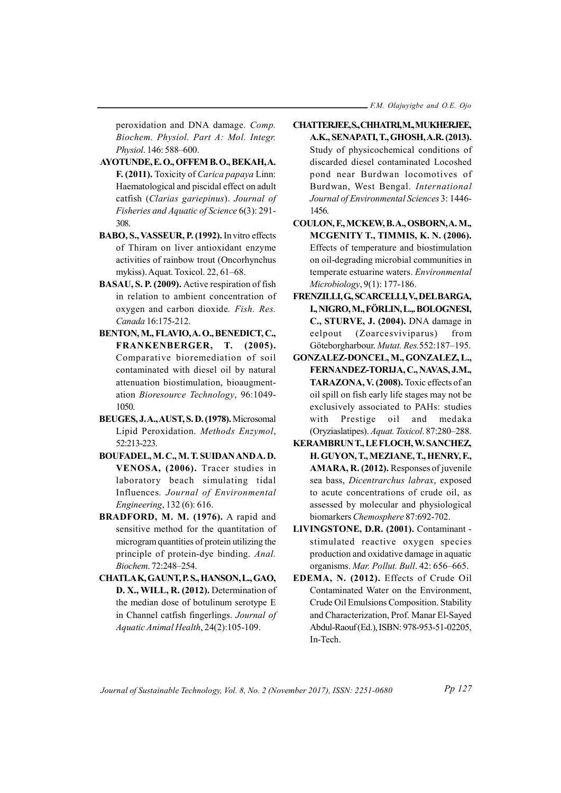peroxidation and DNA damage. Comp. Biochem. Physiol. Part A: Mol. Integr. Physiol. 146: 588–600.

- AYOTUNDE, E. O., OFFEM B. O., BEKAH, A. F. (2011). Toxicity of Carica papaya Linn: Haematological and piscidal effect on adult catfish (Clarias gariepinus). Journal of Fisheries and Aquatic of Science 6(3): 291- 308.
- BABO, S., VASSEUR, P. (1992). In vitro effects of Thiram on liver antioxidant enzyme activities of rainbow trout (Oncorhynchus mykiss). Aquat. Toxicol. 22, 61–68.
- BASAU, S. P. (2009). Active respiration of fish in relation to ambient concentration of oxygen and carbon dioxide. Fish. Res. Canada 16:175-212.
- BENTON, M., FLAVIO, A. O., BENEDICT, C., FRANKENBERGER, T. (2005). Comparative bioremediation of soil contaminated with diesel oil by natural attenuation biostimulation, bioaugmentation Bioresource Technology, 96:1049- 1050.
- BEUGES, J. A., AUST, S. D. (1978). Microsomal Lipid Peroxidation. Methods Enzymol, 52:213-223.
- BOUFADEL, M. C., M. T. SUIDAN AND A. D. VENOSA, (2006). Tracer studies in laboratory beach simulating tidal Influences. Journal of Environmental Engineering, 132 (6): 616.
- BRADFORD, M. M. (1976). A rapid and sensitive method for the quantitation of microgram quantities of protein utilizing the principle of protein-dye binding. Anal. Biochem. 72:248–254.
- CHATLA K, GAUNT, P. S., HANSON, L., GAO, D. X., WILL, R. (2012). Determination of the median dose of botulinum serotype E in Channel catfish fingerlings. Journal of Aquatic Animal Health, 24(2):105-109.
- CHATTERJEE, S., CHHATRI, M., MUKHERJEE, A.K., SENAPATI, T., GHOSH, A.R. (2013). Study of physicochemical conditions of discarded diesel contaminated Locoshed pond near Burdwan locomotives of Burdwan, West Bengal. International Journal of Environmental Sciences 3: 1446- 1456.
- COULON, F., MCKEW, B. A., OSBORN, A. M., MCGENITY T., TIMMIS, K. N. (2006). Effects of temperature and biostimulation on oil-degrading microbial communities in temperate estuarine waters. Environmental Microbiology, 9(1): 177-186.
- FRENZILLI, G., SCARCELLI, V., DEL BARGA, I., NIGRO, M., FÖRLIN, L.,. BOLOGNESI, C., STURVE, J. (2004). DNA damage in eelpout (Zoarcesviviparus) from Göteborgharbour. Mutat. Res.552:187–195.
- GONZALEZ-DONCEL, M., GONZALEZ, L., FERNANDEZ-TORIJA, C., NAVAS, J.M., TARAZONA, V. (2008). Toxic effects of an oil spill on fish early life stages may not be exclusively associated to PAHs: studies with Prestige oil and medaka (Oryziaslatipes). Aquat. Toxicol. 87:280–288.
- KERAMBRUN T., LE FLOCH, W. SANCHEZ, H. GUYON, T., MEZIANE, T., HENRY, F., AMARA, R. (2012). Responses of juvenile sea bass, Dicentrarchus labrax, exposed to acute concentrations of crude oil, as assessed by molecular and physiological biomarkers Chemosphere 87:692-702.
- LIVINGSTONE, D.R. (2001). Contaminant stimulated reactive oxygen species production and oxidative damage in aquatic organisms. Mar. Pollut. Bull. 42: 656–665.
- EDEMA, N. (2012). Effects of Crude Oil Contaminated Water on the Environment, Crude Oil Emulsions Composition. Stability and Characterization, Prof. Manar El-Sayed Abdul-Raouf (Ed.), ISBN: 978-953-51-02205, In-Tech.